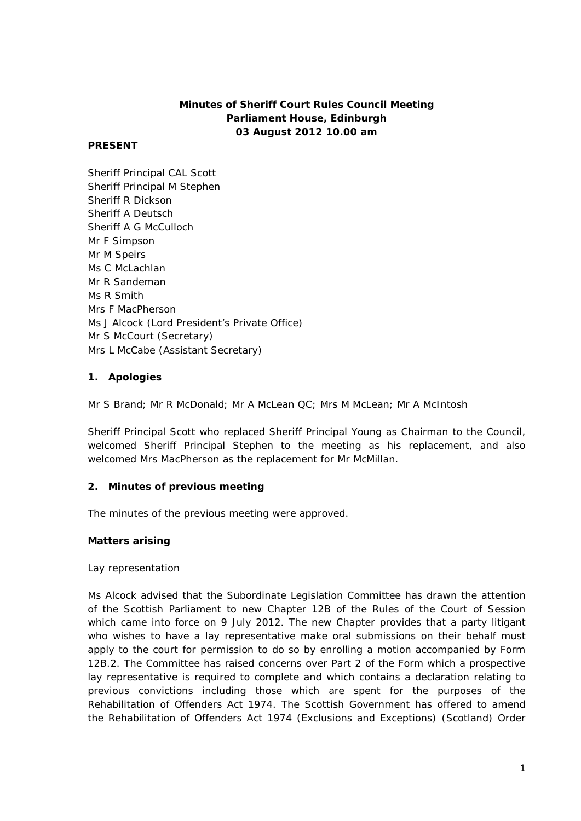# **Minutes of Sheriff Court Rules Council Meeting Parliament House, Edinburgh 03 August 2012 10.00 am**

### **PRESENT**

Sheriff Principal CAL Scott Sheriff Principal M Stephen Sheriff R Dickson Sheriff A Deutsch Sheriff A G McCulloch Mr F Simpson Mr M Speirs Ms C McLachlan Mr R Sandeman Ms R Smith Mrs F MacPherson Ms J Alcock (Lord President's Private Office) Mr S McCourt (Secretary) Mrs L McCabe (Assistant Secretary)

# **1. Apologies**

Mr S Brand; Mr R McDonald; Mr A McLean QC; Mrs M McLean; Mr A McIntosh

Sheriff Principal Scott who replaced Sheriff Principal Young as Chairman to the Council, welcomed Sheriff Principal Stephen to the meeting as his replacement, and also welcomed Mrs MacPherson as the replacement for Mr McMillan.

# **2. Minutes of previous meeting**

The minutes of the previous meeting were approved.

# **Matters arising**

#### Lay representation

Ms Alcock advised that the Subordinate Legislation Committee has drawn the attention of the Scottish Parliament to new Chapter 12B of the Rules of the Court of Session which came into force on 9 July 2012. The new Chapter provides that a party litigant who wishes to have a lay representative make oral submissions on their behalf must apply to the court for permission to do so by enrolling a motion accompanied by Form 12B.2. The Committee has raised concerns over Part 2 of the Form which a prospective lay representative is required to complete and which contains a declaration relating to previous convictions including those which are spent for the purposes of the Rehabilitation of Offenders Act 1974. The Scottish Government has offered to amend the Rehabilitation of Offenders Act 1974 (Exclusions and Exceptions) (Scotland) Order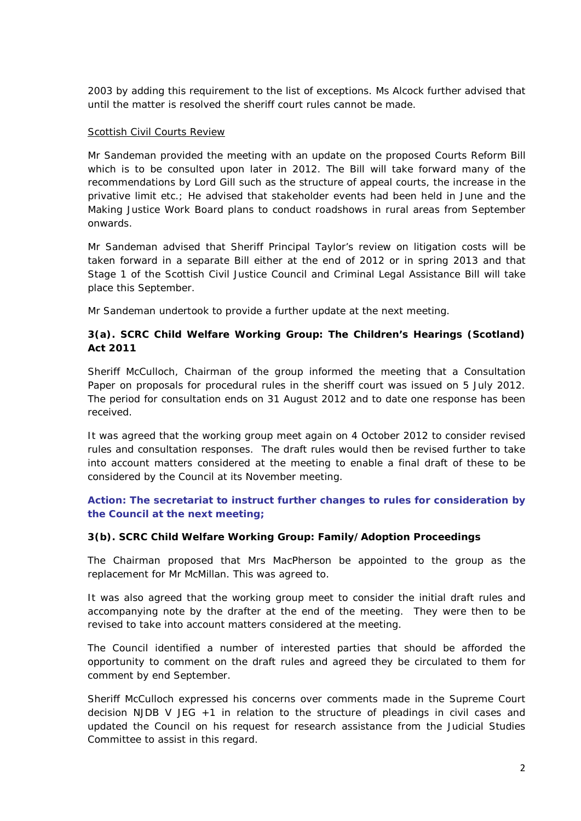2003 by adding this requirement to the list of exceptions. Ms Alcock further advised that until the matter is resolved the sheriff court rules cannot be made.

#### Scottish Civil Courts Review

Mr Sandeman provided the meeting with an update on the proposed Courts Reform Bill which is to be consulted upon later in 2012. The Bill will take forward many of the recommendations by Lord Gill such as the structure of appeal courts, the increase in the privative limit etc.; He advised that stakeholder events had been held in June and the Making Justice Work Board plans to conduct roadshows in rural areas from September onwards.

Mr Sandeman advised that Sheriff Principal Taylor's review on litigation costs will be taken forward in a separate Bill either at the end of 2012 or in spring 2013 and that Stage 1 of the Scottish Civil Justice Council and Criminal Legal Assistance Bill will take place this September.

Mr Sandeman undertook to provide a further update at the next meeting.

# **3(a). SCRC Child Welfare Working Group: The Children's Hearings (Scotland) Act 2011**

Sheriff McCulloch, Chairman of the group informed the meeting that a Consultation Paper on proposals for procedural rules in the sheriff court was issued on 5 July 2012. The period for consultation ends on 31 August 2012 and to date one response has been received.

It was agreed that the working group meet again on 4 October 2012 to consider revised rules and consultation responses. The draft rules would then be revised further to take into account matters considered at the meeting to enable a final draft of these to be considered by the Council at its November meeting.

### **Action: The secretariat to instruct further changes to rules for consideration by the Council at the next meeting;**

#### **3(b). SCRC Child Welfare Working Group: Family/Adoption Proceedings**

The Chairman proposed that Mrs MacPherson be appointed to the group as the replacement for Mr McMillan. This was agreed to.

It was also agreed that the working group meet to consider the initial draft rules and accompanying note by the drafter at the end of the meeting. They were then to be revised to take into account matters considered at the meeting.

The Council identified a number of interested parties that should be afforded the opportunity to comment on the draft rules and agreed they be circulated to them for comment by end September.

Sheriff McCulloch expressed his concerns over comments made in the Supreme Court decision *NJDB V JEG +1* in relation to the structure of pleadings in civil cases and updated the Council on his request for research assistance from the Judicial Studies Committee to assist in this regard.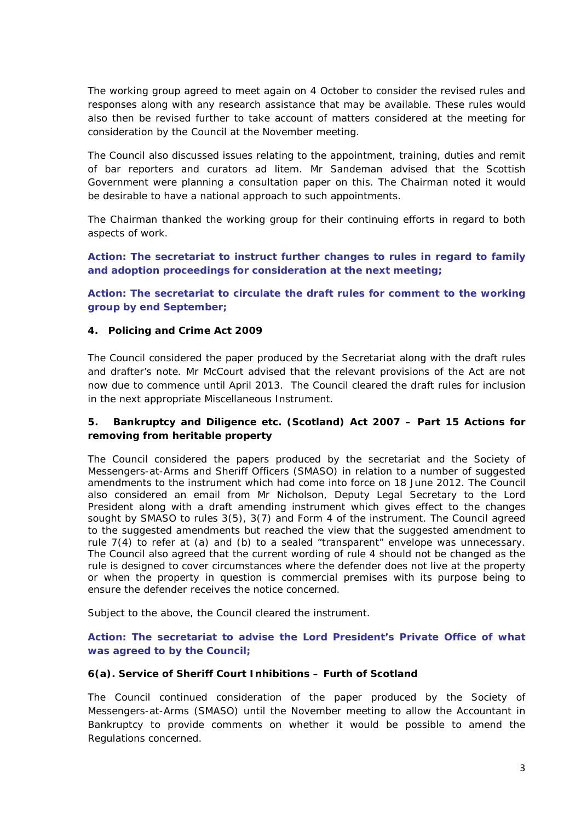The working group agreed to meet again on 4 October to consider the revised rules and responses along with any research assistance that may be available. These rules would also then be revised further to take account of matters considered at the meeting for consideration by the Council at the November meeting.

The Council also discussed issues relating to the appointment, training, duties and remit of bar reporters and curators *ad litem.* Mr Sandeman advised that the Scottish Government were planning a consultation paper on this. The Chairman noted it would be desirable to have a national approach to such appointments.

The Chairman thanked the working group for their continuing efforts in regard to both aspects of work.

**Action: The secretariat to instruct further changes to rules in regard to family and adoption proceedings for consideration at the next meeting;** 

**Action: The secretariat to circulate the draft rules for comment to the working group by end September;** 

### **4. Policing and Crime Act 2009**

The Council considered the paper produced by the Secretariat along with the draft rules and drafter's note. Mr McCourt advised that the relevant provisions of the Act are not now due to commence until April 2013. The Council cleared the draft rules for inclusion in the next appropriate Miscellaneous Instrument.

# **5. Bankruptcy and Diligence etc. (Scotland) Act 2007 – Part 15 Actions for removing from heritable property**

The Council considered the papers produced by the secretariat and the Society of Messengers-at-Arms and Sheriff Officers (SMASO) in relation to a number of suggested amendments to the instrument which had come into force on 18 June 2012. The Council also considered an email from Mr Nicholson, Deputy Legal Secretary to the Lord President along with a draft amending instrument which gives effect to the changes sought by SMASO to rules 3(5), 3(7) and Form 4 of the instrument. The Council agreed to the suggested amendments but reached the view that the suggested amendment to rule 7(4) to refer at (a) and (b) to a sealed "transparent" envelope was unnecessary. The Council also agreed that the current wording of rule 4 should not be changed as the rule is designed to cover circumstances where the defender does not live at the property or when the property in question is commercial premises with its purpose being to ensure the defender receives the notice concerned.

Subject to the above, the Council cleared the instrument.

# **Action: The secretariat to advise the Lord President's Private Office of what was agreed to by the Council;**

#### **6(a). Service of Sheriff Court Inhibitions – Furth of Scotland**

The Council continued consideration of the paper produced by the Society of Messengers-at-Arms (SMASO) until the November meeting to allow the Accountant in Bankruptcy to provide comments on whether it would be possible to amend the Regulations concerned.